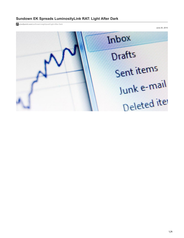# **Sundown EK Spreads LuminosityLink RAT: Light After Dark**

**proofpoint.com**[/us/threat-insight/post/Light-After-Dark](https://www.proofpoint.com/us/threat-insight/post/Light-After-Dark)

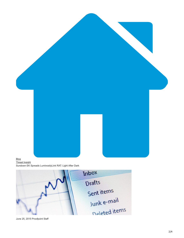

## [Blog](https://www.proofpoint.com/us/blog) [Threat Insight](https://www.proofpoint.com/us/blog/threat-insight)

Sundown EK Spreads LuminosityLink RAT: Light After Dark



June 25, 2015 Proofpoint Staff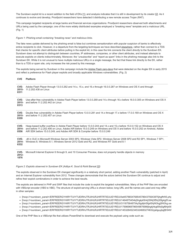The Sundown exploit kit is a recent addition to the field of EKs [[1](http://malware.dontneedcoffee.com/2015/06/fast-look-at-sundown-ek.html)], and analysis indicates that it is still in development by its creator [[2\]](https://www.virusbtn.com/virusbulletin/archive/2015/06/vb201506-Beta-BEP). As it continues to evolve and develop, Proofpoint researchers have detected it distributing a new remote access Trojan (RAT).

This campaign targeted recipients at large banks and financial services organizations. Proofpoint researchers observed both attachments and URLs being used by the campaign; one of the more widely distributed examples employed a "breaking news" template and a malicious URL. (Fig. 1)

#### *Figure 1: Phishing email containing "breaking news" and malicious links.*

The fake news update delivered by the phishing email is false but combines sensationalism with popular suspicion of banks to effectively entice recipients to click. However, in a departure from the targeting techniques we have described [elsewhere](https://www.proofpoint.com/us/threat-insight/post/how-steal-access-over-500000-bank-accounts), rather than connect to a TDS that checks for specific client attributes before pulling in the exploit kit, in this case the link connects the client *directly* to the Sundown EK. Sundown does not attempt to distinguish between countries, IP addresses, companies, or other client attributes, and instead attempts to execute exploits on clients indiscriminately. Moreover, the "unsubscribe" and "report as spam" links in the phishing message also link to the Sundown EK. While it is not unusual to have multiple malicious URLs in a single message, the fact that these link directly to the EK, rather than to a TDS or spam site, only increases the risk posed by this message.

The exploits being served by Sundown in this campaign include the [Adobe Flash zero-days](http://www.trendmicro.com/us/marketing/newsletter/flod/20150215/security-spotlight.html) that were detected on the Angler EK in early 2015 and reflect a preference for Flash player exploits and broadly applicable Windows vulnerabilities. (Fig. 2)

#### **CVE Platform**

| CVE-<br>2015-<br>0311    | Adobe Flash Player through 13.0.0.262 and 14.x, 15.x, and 16.x through 16.0.0.287 on Windows and OS X and through<br>11.2.202.438 on Linux                                                                                                                                                                                           |
|--------------------------|--------------------------------------------------------------------------------------------------------------------------------------------------------------------------------------------------------------------------------------------------------------------------------------------------------------------------------------|
| CVE-<br>$2015 -$<br>0313 | Use-after-free vulnerability in Adobe Flash Player before 13.0.0.269 and 14.x through 16.x before 16.0.0.305 on Windows and OS X<br>and before 11.2.202.442 on Linux                                                                                                                                                                 |
| CVE-<br>$2015 -$<br>0359 | Double free vulnerability in Adobe Flash Player before 13.0.0.281 and 14.x through 17.x before 17.0.0.169 on Windows and OS X<br>and before 11.2.202.457 on Linux                                                                                                                                                                    |
| CVE-<br>2014-<br>0556    | Heap-based buffer overflow in Adobe Flash Player before 13.0.0.244 and 14.x and 15.x before 15.0.0.152 on Windows and OS X<br>and before 11.2.202.406 on Linux, Adobe AIR before 15.0.0.249 on Windows and OS X and before 15.0.0.252 on Android, Adobe<br>AIR SDK before 15.0.0.249, and Adobe AIR SDK & Compiler before 15.0.0.249 |
| CVE-<br>2014-<br>6332    | .dll in OLE in Microsoft Windows Server 2003 SP2, Windows Vista SP2, Windows Server 2008 SP2 and R2 SP1, Windows 7 SP1,<br>Windows 8, Windows 8.1, Windows Server 2012 Gold and R2, and Windows RT Gold and 8.1                                                                                                                      |
| CVE-<br>2012-<br>1876    | Microsoft Internet Explorer 6 through 9, and 10 Consumer Preview, does not properly handle objects in memory                                                                                                                                                                                                                         |

#### *Figure 2: Exploits observed in Sundown EK (Aditya K. Sood & Rohit Bansal [\[2](https://www.virusbtn.com/virusbulletin/archive/2015/06/vb201506-Beta-BEP)])*

The exploits observed in the Sundown EK changed significantly in a relatively short period, adding another Flash vulnerability (patched in April) and an Internet Explorer vulnerability from 2012. These changes demonstrate that the actors behind the Sundown EK continue to adjust and refine their exploit combinations in order to achieve the best results.

The exploits are delivered in PHP and SWF files that include the code to exploit the targeted vulnerabilities. Many of the PHP files are encoded with VBScript encoder (VBS to VBE). The structure of exploit-serving URLs is shown below; long URL and file names are used and may differ in other samples:

- · [hxxp://<sundown\_panel>/ERFREERGYHIRYTUIYTUEIRHJTRJIHURJHRTRTIEUUEYREUI/lat45786547685457864375643875jhgfhf45.php
- [hxxp://<sundown\_panel>/ERFREERGYHIRYTUIYTUEIRHJTRJIHURJHRTRTIEUUEYREUI/1464875454kj5hgkj45h4j35f4j3f5hj35fg4g5f.sw
- [hxxp://<sundown\_panel>/ERFREERGYHIRYTUIYTUEIRHJTRJIHURJHRTRTIEUUEYREUI/311875648754y5tg4jkh5fg45hjf43hgj5f43hg.sw
- [hxxp://<sundown\_panel>/ERFREERGYHIRYTUIYTUEIRHJTRJIHURJHRTRTIEUUEYREUI/17896968796549876986jhgkjhkg65hj5gf6hjk56
- [hxxp://<sundown\_panel>/ERFREERGYHIRYTUIYTUEIRHJTRJIHURJHRTRTIEUUEYREUI/145328452345324683274632yjetguyjkgfjfr54hf

One of the PHP files is a VBScript file that utilizes PowerShell to download and execute the payload using code such as: